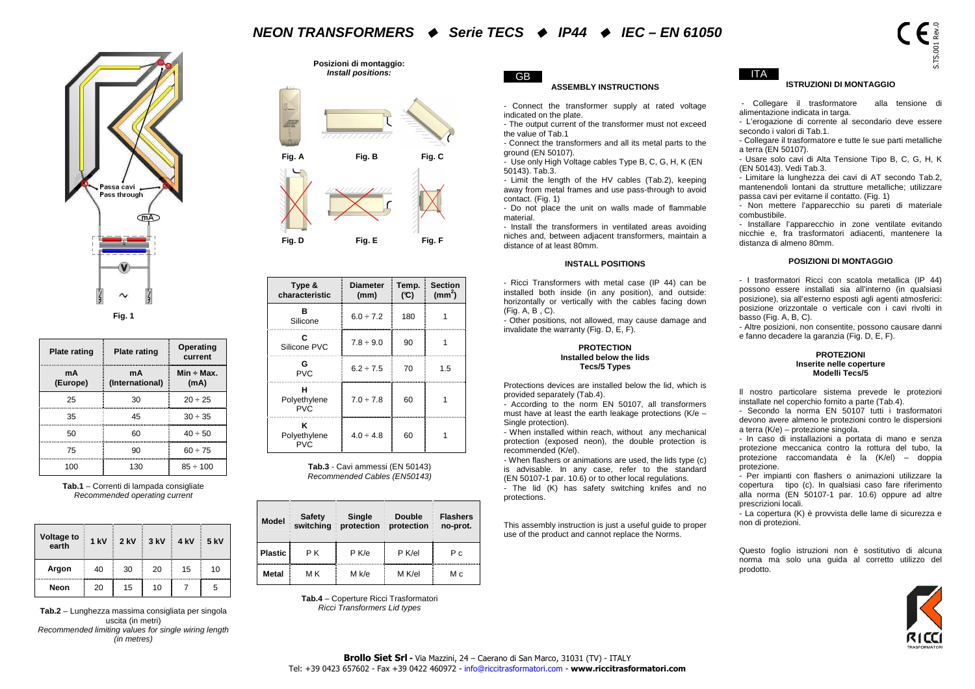## **NEON TRANSFORMERS Serie TECS IP44 IEC – EN 61050**



| <b>Plate rating</b> | <b>Plate rating</b>   | Operating<br>current    |  |  |
|---------------------|-----------------------|-------------------------|--|--|
| mA<br>(Europe)      | mA<br>(International) | $Min \div Max.$<br>(mA) |  |  |
| 25                  | 30                    | $20 \div 25$            |  |  |
| 35                  | 45                    | $30 \div 35$            |  |  |
| 50                  | 60                    | $40 \div 50$            |  |  |
| 75                  | 90                    | $60 \div 75$            |  |  |
| 100                 | 130                   | 85 ÷ 100                |  |  |

|  | Voltage to<br>earth | 1 kV | $2$ kV | 3 kV | 4 kV | 5 kV |
|--|---------------------|------|--------|------|------|------|
|  | Argon               | 40   | 30     | 20   | 15   | 10   |
|  | Neon                | 20   | 15     | 10   |      | ٠h   |

**Tab.2** – Lunghezza massima consigliata per singola uscita (in metri) Recommended limiting values for single wiring length (in metres)

**Posizioni di montaggio: Install positions:** 



|                                                                                                |             | Passa cavi<br>Pass through |                               |                             |                                                                                                               | $\frac{1}{\sqrt{2}}$<br>Fig. A<br>Fig. D                              |                                                                            | Install positions:<br>////////////<br>Fig. B<br>Fig. E                                              |               | Fig. C<br>Fig. F                     | <b>GB</b><br><b>ASSEMBLY INSTRUCTIONS</b><br>- Connect the transformer supply at rated voltage<br>indicated on the plate.<br>- The output current of the transformer must not exceed<br>the value of Tab.1<br>- Connect the transformers and all its metal parts to the<br>ground (EN 50107).<br>- Use only High Voltage cables Type B, C, G, H, K (EN)<br>50143). Tab.3.<br>- Limit the length of the HV cables (Tab.2), keeping<br>away from metal frames and use pass-through to avoid<br>contact. (Fig. 1)<br>- Do not place the unit on walls made of flammable<br>material.<br>- Install the transformers in ventilated areas avoiding<br>niches and, between adjacent transformers, maintain a<br>distance of at least 80mm. | ITA I<br><b>ISTRUZIONI DI MONTAGGIO</b><br>- Collegare il trasformatore<br>alla tensione di<br>alimentazione indicata in targa.<br>- L'erogazione di corrente al secondario deve essere<br>secondo i valori di Tab.1.<br>- Collegare il trasformatore e tutte le sue parti metalliche<br>a terra (EN 50107).<br>- Usare solo cavi di Alta Tensione Tipo B, C, G, H, K<br>(EN 50143). Vedi Tab.3.<br>- Limitare la lunghezza dei cavi di AT secondo Tab.2,<br>mantenendoli lontani da strutture metalliche; utilizzare<br>passa cavi per evitarne il contatto. (Fig. 1)<br>- Non mettere l'apparecchio su pareti di materiale<br>combustibile.<br>- Installare l'apparecchio in zone ventilate evitando<br>nicchie e, fra trasformatori adiacenti, mantenere la<br>distanza di almeno 80mm. |
|------------------------------------------------------------------------------------------------|-------------|----------------------------|-------------------------------|-----------------------------|---------------------------------------------------------------------------------------------------------------|-----------------------------------------------------------------------|----------------------------------------------------------------------------|-----------------------------------------------------------------------------------------------------|---------------|--------------------------------------|-------------------------------------------------------------------------------------------------------------------------------------------------------------------------------------------------------------------------------------------------------------------------------------------------------------------------------------------------------------------------------------------------------------------------------------------------------------------------------------------------------------------------------------------------------------------------------------------------------------------------------------------------------------------------------------------------------------------------------------|--------------------------------------------------------------------------------------------------------------------------------------------------------------------------------------------------------------------------------------------------------------------------------------------------------------------------------------------------------------------------------------------------------------------------------------------------------------------------------------------------------------------------------------------------------------------------------------------------------------------------------------------------------------------------------------------------------------------------------------------------------------------------------------------|
|                                                                                                |             | $\mathbf{u}$               |                               |                             |                                                                                                               |                                                                       |                                                                            |                                                                                                     |               |                                      | <b>INSTALL POSITIONS</b>                                                                                                                                                                                                                                                                                                                                                                                                                                                                                                                                                                                                                                                                                                            | <b>POSIZIONI DI MONTAGGIO</b>                                                                                                                                                                                                                                                                                                                                                                                                                                                                                                                                                                                                                                                                                                                                                              |
|                                                                                                |             | $\sim$                     |                               |                             |                                                                                                               | Type &<br>characteristic                                              |                                                                            | <b>Diameter</b><br>(mm)                                                                             | Temp.<br>(C)  | <b>Section</b><br>(mm <sup>2</sup> ) | - Ricci Transformers with metal case (IP 44) can be<br>installed both inside (in any position), and outside:<br>horizontally or vertically with the cables facing down                                                                                                                                                                                                                                                                                                                                                                                                                                                                                                                                                              | - I trasformatori Ricci con scatola metallica (IP 44)<br>possono essere installati sia all'interno (in qualsiasi<br>posizione), sia all'esterno esposti agli agenti atmosferici:                                                                                                                                                                                                                                                                                                                                                                                                                                                                                                                                                                                                           |
|                                                                                                |             | Fig. 1                     |                               |                             |                                                                                                               | В<br>Silicone                                                         |                                                                            | $6.0 \div 7.2$                                                                                      | 180           | $\overline{1}$                       | (Fiq. A, B, C).<br>- Other positions, not allowed, may cause damage and<br>invalidate the warranty (Fig. D, E, F).                                                                                                                                                                                                                                                                                                                                                                                                                                                                                                                                                                                                                  | posizione orizzontale o verticale con i cavi rivolti in<br>basso (Fig. A, B, C).<br>- Altre posizioni, non consentite, possono causare danni                                                                                                                                                                                                                                                                                                                                                                                                                                                                                                                                                                                                                                               |
| <b>Plate rating</b>                                                                            |             | <b>Plate rating</b>        |                               | <b>Operating</b><br>current |                                                                                                               | C<br>Silicone PVC                                                     |                                                                            | $7.8 \div 9.0$                                                                                      | 90            | $\mathbf{1}$                         | <b>PROTECTION</b><br>Installed below the lids                                                                                                                                                                                                                                                                                                                                                                                                                                                                                                                                                                                                                                                                                       | e fanno decadere la garanzia (Fig. D, E, F).<br><b>PROTEZIONI</b>                                                                                                                                                                                                                                                                                                                                                                                                                                                                                                                                                                                                                                                                                                                          |
| mA<br>(Europe)                                                                                 |             | mA<br>(International)      |                               | $Min \div Max.$<br>(mA)     |                                                                                                               | G<br><b>PVC</b>                                                       |                                                                            | $6.2 \div 7.5$                                                                                      | 70            | 1.5                                  | <b>Tecs/5 Types</b>                                                                                                                                                                                                                                                                                                                                                                                                                                                                                                                                                                                                                                                                                                                 | Inserite nelle coperture<br>Modelli Tecs/5                                                                                                                                                                                                                                                                                                                                                                                                                                                                                                                                                                                                                                                                                                                                                 |
| 25                                                                                             |             | 30                         |                               | $20 \div 25$                |                                                                                                               | н<br>Polyethylene                                                     |                                                                            | $7.0 \div 7.8$                                                                                      | 60            | $\mathbf{1}$                         | Protections devices are installed below the lid, which is<br>provided separately (Tab.4).                                                                                                                                                                                                                                                                                                                                                                                                                                                                                                                                                                                                                                           | Il nostro particolare sistema prevede le protezioni<br>installate nel coperchio fornito a parte (Tab.4).                                                                                                                                                                                                                                                                                                                                                                                                                                                                                                                                                                                                                                                                                   |
| 35                                                                                             |             | 45                         |                               | $30 \div 35$                |                                                                                                               | <b>PVC</b>                                                            |                                                                            |                                                                                                     |               |                                      | - According to the norm EN 50107, all transformers<br>must have at least the earth leakage protections (K/e -                                                                                                                                                                                                                                                                                                                                                                                                                                                                                                                                                                                                                       | - Secondo la norma EN 50107 tutti i trasformatori<br>devono avere almeno le protezioni contro le dispersioni                                                                                                                                                                                                                                                                                                                                                                                                                                                                                                                                                                                                                                                                               |
| 50                                                                                             |             | 60                         |                               | $40 \div 50$                |                                                                                                               | ĸ<br>Polyethylene                                                     |                                                                            | $4.0 \div 4.8$                                                                                      | 60            | -1                                   | Single protection).<br>- When installed within reach, without any mechanical                                                                                                                                                                                                                                                                                                                                                                                                                                                                                                                                                                                                                                                        | a terra (K/e) - protezione singola.<br>- In caso di installazioni a portata di mano e senza                                                                                                                                                                                                                                                                                                                                                                                                                                                                                                                                                                                                                                                                                                |
| 75<br>90<br>$60 \div 75$                                                                       |             |                            | <b>PVC</b>                    |                             |                                                                                                               |                                                                       | protection (exposed neon), the double protection is<br>recommended (K/el). | protezione meccanica contro la rottura del tubo, la<br>protezione raccomandata è la (K/el) - doppia |               |                                      |                                                                                                                                                                                                                                                                                                                                                                                                                                                                                                                                                                                                                                                                                                                                     |                                                                                                                                                                                                                                                                                                                                                                                                                                                                                                                                                                                                                                                                                                                                                                                            |
| 130<br>Tab.3 - Cavi ammessi (EN 50143)<br>100<br>$85 \div 100$<br>Recommended Cables (EN50143) |             |                            |                               |                             | - When flashers or animations are used, the lids type (c)<br>is advisable. In any case, refer to the standard | protezione.<br>- Per impianti con flashers o animazioni utilizzare la |                                                                            |                                                                                                     |               |                                      |                                                                                                                                                                                                                                                                                                                                                                                                                                                                                                                                                                                                                                                                                                                                     |                                                                                                                                                                                                                                                                                                                                                                                                                                                                                                                                                                                                                                                                                                                                                                                            |
| Tab.1 - Correnti di lampada consigliate                                                        |             |                            | Recommended operating current |                             |                                                                                                               |                                                                       |                                                                            |                                                                                                     |               |                                      | (EN 50107-1 par. 10.6) or to other local regulations.<br>- The lid (K) has safety switching knifes and no<br>protections.                                                                                                                                                                                                                                                                                                                                                                                                                                                                                                                                                                                                           | copertura tipo (c). In qualsiasi caso fare riferimento<br>alla norma (EN 50107-1 par. 10.6) oppure ad altre<br>prescrizioni locali.                                                                                                                                                                                                                                                                                                                                                                                                                                                                                                                                                                                                                                                        |
|                                                                                                |             |                            |                               |                             |                                                                                                               | <b>Model</b>                                                          | <b>Safety</b><br>switching                                                 | Single<br>protection protection                                                                     | <b>Double</b> | <b>Flashers</b><br>no-prot.          | This assembly instruction is just a useful guide to proper<br>use of the product and cannot replace the Norms.                                                                                                                                                                                                                                                                                                                                                                                                                                                                                                                                                                                                                      | - La copertura (K) è provvista delle lame di sicurezza e<br>non di protezioni.                                                                                                                                                                                                                                                                                                                                                                                                                                                                                                                                                                                                                                                                                                             |
| Voltage to<br>earth                                                                            | <b>1 kV</b> | $2$ kV                     | 3 kV                          | 4 kV                        | 5 kV                                                                                                          | <b>Plastic</b>                                                        | PK                                                                         | P K/e                                                                                               | P K/el        | P c                                  |                                                                                                                                                                                                                                                                                                                                                                                                                                                                                                                                                                                                                                                                                                                                     | Questo foglio istruzioni non è sostitutivo di alcuna                                                                                                                                                                                                                                                                                                                                                                                                                                                                                                                                                                                                                                                                                                                                       |
| Argon                                                                                          | 40          | 30                         | 20                            | 15                          | 10                                                                                                            | Metal                                                                 | M K                                                                        | M k/e                                                                                               | M K/el        | Мc                                   |                                                                                                                                                                                                                                                                                                                                                                                                                                                                                                                                                                                                                                                                                                                                     | norma ma solo una guida al corretto utilizzo del<br>prodotto.                                                                                                                                                                                                                                                                                                                                                                                                                                                                                                                                                                                                                                                                                                                              |
| Neon                                                                                           | 20          | 15                         | 10                            | $\overline{7}$              | 5                                                                                                             |                                                                       |                                                                            |                                                                                                     |               |                                      |                                                                                                                                                                                                                                                                                                                                                                                                                                                                                                                                                                                                                                                                                                                                     |                                                                                                                                                                                                                                                                                                                                                                                                                                                                                                                                                                                                                                                                                                                                                                                            |
| Tah 2 – Lungbezza massima consigliata ner singola                                              |             |                            |                               |                             |                                                                                                               |                                                                       |                                                                            | Tab.4 - Coperture Ricci Trasformatori<br>Ricci Transformers Lid types                               |               |                                      |                                                                                                                                                                                                                                                                                                                                                                                                                                                                                                                                                                                                                                                                                                                                     |                                                                                                                                                                                                                                                                                                                                                                                                                                                                                                                                                                                                                                                                                                                                                                                            |

| Model          | <b>Safety</b><br>switching | Single<br>protection | <b>Double</b><br>protection | <b>Flashers</b><br>no-prot. |
|----------------|----------------------------|----------------------|-----------------------------|-----------------------------|
| <b>Plastic</b> | P K                        | $P$ K/e              | P K/el                      | Рc                          |
| Metal          | мĸ                         | M k/e                | M K/el                      | Мc                          |



S.TS.001 Rev.0